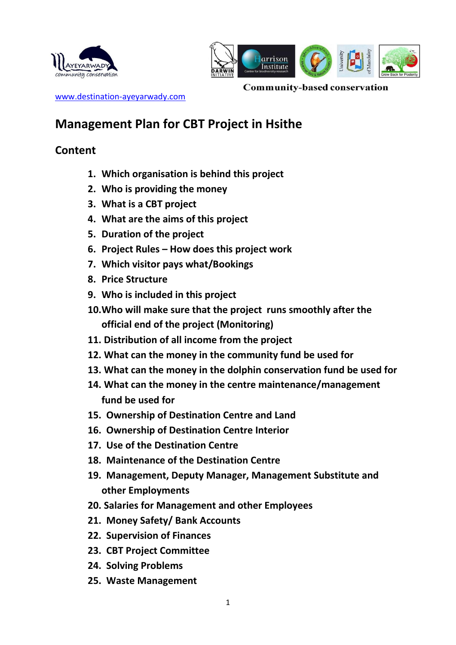



**Community-based conservation** [www.destination-ayeyarwady.com](http://www.destination-ayeyarwady.com/)

# **Management Plan for CBT Project in Hsithe**

## **Content**

- **1. Which organisation is behind this project**
- **2. Who is providing the money**
- **3. What is a CBT project**
- **4. What are the aims of this project**
- **5. Duration of the project**
- **6. Project Rules – How does this project work**
- **7. Which visitor pays what/Bookings**
- **8. Price Structure**
- **9. Who is included in this project**
- **10.Who will make sure that the project runs smoothly after the official end of the project (Monitoring)**
- **11. Distribution of all income from the project**
- **12. What can the money in the community fund be used for**
- **13. What can the money in the dolphin conservation fund be used for**
- **14. What can the money in the centre maintenance/management fund be used for**
- **15. Ownership of Destination Centre and Land**
- **16. Ownership of Destination Centre Interior**
- **17. Use of the Destination Centre**
- **18. Maintenance of the Destination Centre**
- **19. Management, Deputy Manager, Management Substitute and other Employments**
- **20. Salaries for Management and other Employees**
- **21. Money Safety/ Bank Accounts**
- **22. Supervision of Finances**
- **23. CBT Project Committee**
- **24. Solving Problems**
- **25. Waste Management**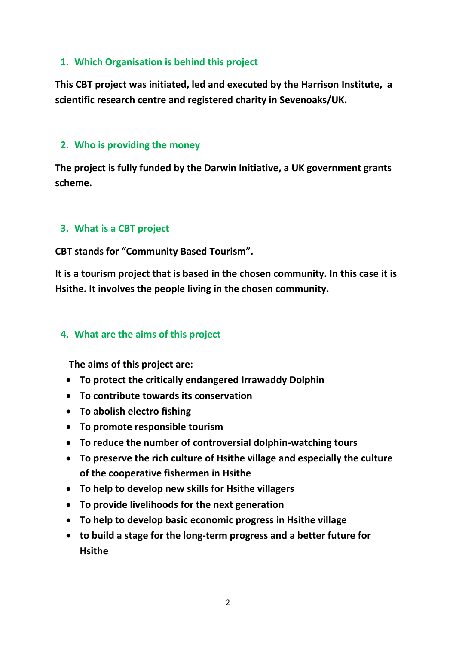### **1. Which Organisation is behind this project**

**This CBT project was initiated, led and executed by the Harrison Institute, a scientific research centre and registered charity in Sevenoaks/UK.** 

#### **2. Who is providing the money**

**The project is fully funded by the Darwin Initiative, a UK government grants scheme.**

## **3. What is a CBT project**

**CBT stands for "Community Based Tourism".** 

**It is a tourism project that is based in the chosen community. In this case it is Hsithe. It involves the people living in the chosen community.**

#### **4. What are the aims of this project**

**The aims of this project are:**

- **To protect the critically endangered Irrawaddy Dolphin**
- **To contribute towards its conservation**
- **To abolish electro fishing**
- **To promote responsible tourism**
- **To reduce the number of controversial dolphin-watching tours**
- **To preserve the rich culture of Hsithe village and especially the culture of the cooperative fishermen in Hsithe**
- **To help to develop new skills for Hsithe villagers**
- **To provide livelihoods for the next generation**
- **To help to develop basic economic progress in Hsithe village**
- **to build a stage for the long-term progress and a better future for Hsithe**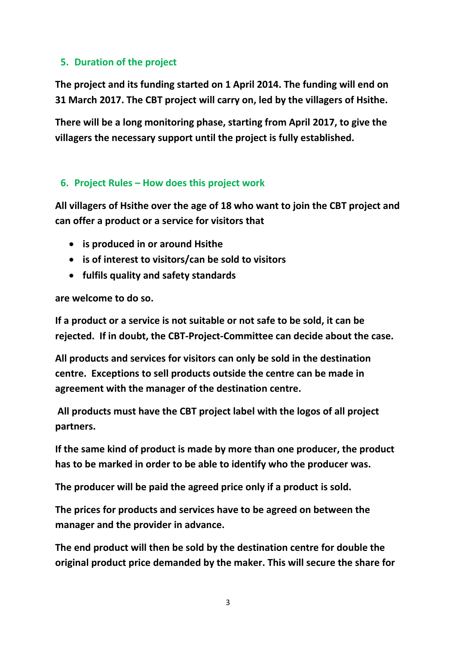## **5. Duration of the project**

**The project and its funding started on 1 April 2014. The funding will end on 31 March 2017. The CBT project will carry on, led by the villagers of Hsithe.**

**There will be a long monitoring phase, starting from April 2017, to give the villagers the necessary support until the project is fully established.**

### **6. Project Rules – How does this project work**

**All villagers of Hsithe over the age of 18 who want to join the CBT project and can offer a product or a service for visitors that**

- **is produced in or around Hsithe**
- **is of interest to visitors/can be sold to visitors**
- **fulfils quality and safety standards**

**are welcome to do so.**

**If a product or a service is not suitable or not safe to be sold, it can be rejected. If in doubt, the CBT-Project-Committee can decide about the case.**

**All products and services for visitors can only be sold in the destination centre. Exceptions to sell products outside the centre can be made in agreement with the manager of the destination centre.** 

**All products must have the CBT project label with the logos of all project partners.**

**If the same kind of product is made by more than one producer, the product has to be marked in order to be able to identify who the producer was.** 

**The producer will be paid the agreed price only if a product is sold.**

**The prices for products and services have to be agreed on between the manager and the provider in advance.** 

**The end product will then be sold by the destination centre for double the original product price demanded by the maker. This will secure the share for**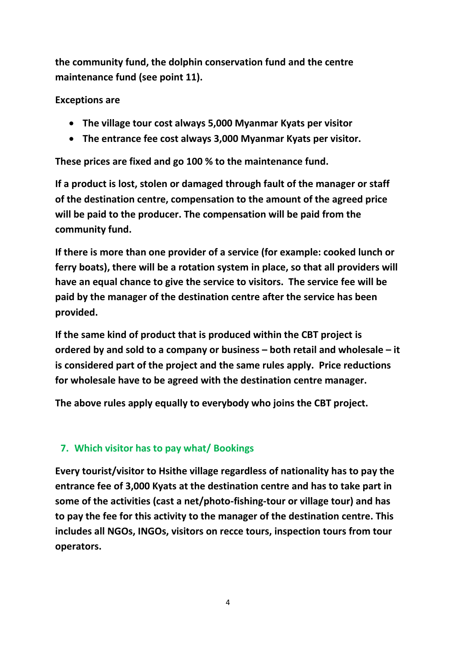**the community fund, the dolphin conservation fund and the centre maintenance fund (see point 11).**

**Exceptions are**

- **The village tour cost always 5,000 Myanmar Kyats per visitor**
- **The entrance fee cost always 3,000 Myanmar Kyats per visitor.**

**These prices are fixed and go 100 % to the maintenance fund.**

**If a product is lost, stolen or damaged through fault of the manager or staff of the destination centre, compensation to the amount of the agreed price will be paid to the producer. The compensation will be paid from the community fund.**

**If there is more than one provider of a service (for example: cooked lunch or ferry boats), there will be a rotation system in place, so that all providers will have an equal chance to give the service to visitors. The service fee will be paid by the manager of the destination centre after the service has been provided.**

**If the same kind of product that is produced within the CBT project is ordered by and sold to a company or business – both retail and wholesale – it is considered part of the project and the same rules apply. Price reductions for wholesale have to be agreed with the destination centre manager.**

**The above rules apply equally to everybody who joins the CBT project.**

## **7. Which visitor has to pay what/ Bookings**

**Every tourist/visitor to Hsithe village regardless of nationality has to pay the entrance fee of 3,000 Kyats at the destination centre and has to take part in some of the activities (cast a net/photo-fishing-tour or village tour) and has to pay the fee for this activity to the manager of the destination centre. This includes all NGOs, INGOs, visitors on recce tours, inspection tours from tour operators.**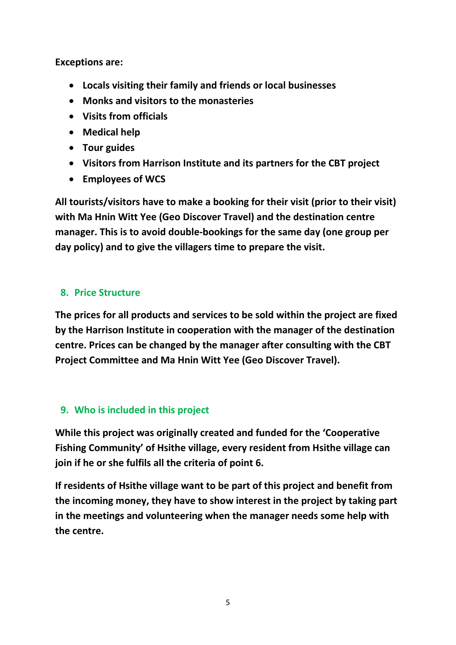**Exceptions are:**

- **Locals visiting their family and friends or local businesses**
- **Monks and visitors to the monasteries**
- **Visits from officials**
- **Medical help**
- **Tour guides**
- **Visitors from Harrison Institute and its partners for the CBT project**
- **Employees of WCS**

**All tourists/visitors have to make a booking for their visit (prior to their visit) with Ma Hnin Witt Yee (Geo Discover Travel) and the destination centre manager. This is to avoid double-bookings for the same day (one group per day policy) and to give the villagers time to prepare the visit.**

### **8. Price Structure**

**The prices for all products and services to be sold within the project are fixed by the Harrison Institute in cooperation with the manager of the destination centre. Prices can be changed by the manager after consulting with the CBT Project Committee and Ma Hnin Witt Yee (Geo Discover Travel).** 

## **9. Who is included in this project**

**While this project was originally created and funded for the 'Cooperative Fishing Community' of Hsithe village, every resident from Hsithe village can join if he or she fulfils all the criteria of point 6.**

**If residents of Hsithe village want to be part of this project and benefit from the incoming money, they have to show interest in the project by taking part in the meetings and volunteering when the manager needs some help with the centre.**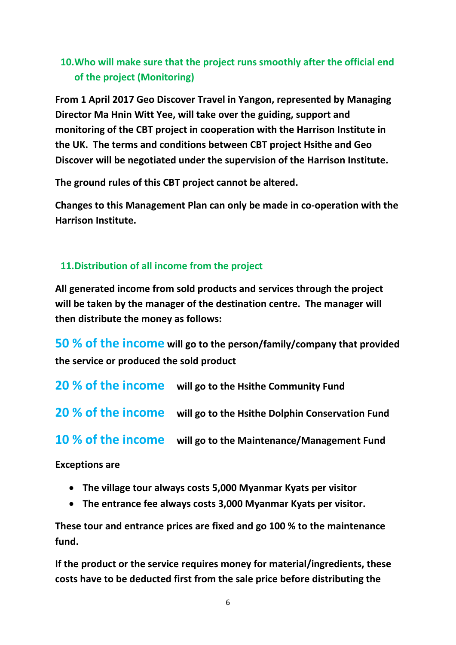## **10.Who will make sure that the project runs smoothly after the official end of the project (Monitoring)**

**From 1 April 2017 Geo Discover Travel in Yangon, represented by Managing Director Ma Hnin Witt Yee, will take over the guiding, support and monitoring of the CBT project in cooperation with the Harrison Institute in the UK. The terms and conditions between CBT project Hsithe and Geo Discover will be negotiated under the supervision of the Harrison Institute.** 

**The ground rules of this CBT project cannot be altered.**

**Changes to this Management Plan can only be made in co-operation with the Harrison Institute.**

## **11.Distribution of all income from the project**

**All generated income from sold products and services through the project will be taken by the manager of the destination centre. The manager will then distribute the money as follows:**

**50 % of the income will go to the person/family/company that provided the service or produced the sold product**

**20 % of the income will go to the Hsithe Community Fund**

**20 % of the income will go to the Hsithe Dolphin Conservation Fund**

**10 % of the income will go to the Maintenance/Management Fund**

**Exceptions are**

- **The village tour always costs 5,000 Myanmar Kyats per visitor**
- **The entrance fee always costs 3,000 Myanmar Kyats per visitor.**

**These tour and entrance prices are fixed and go 100 % to the maintenance fund.**

**If the product or the service requires money for material/ingredients, these costs have to be deducted first from the sale price before distributing the**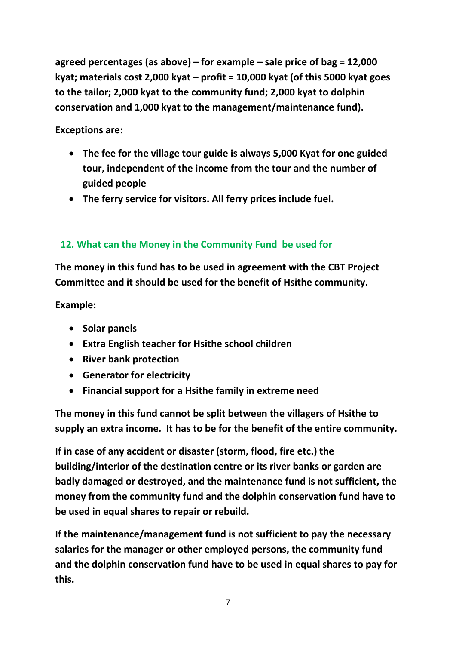**agreed percentages (as above) – for example – sale price of bag = 12,000 kyat; materials cost 2,000 kyat – profit = 10,000 kyat (of this 5000 kyat goes to the tailor; 2,000 kyat to the community fund; 2,000 kyat to dolphin conservation and 1,000 kyat to the management/maintenance fund).**

**Exceptions are:**

- **The fee for the village tour guide is always 5,000 Kyat for one guided tour, independent of the income from the tour and the number of guided people**
- **The ferry service for visitors. All ferry prices include fuel.**

## **12. What can the Money in the Community Fund be used for**

**The money in this fund has to be used in agreement with the CBT Project Committee and it should be used for the benefit of Hsithe community.**

## **Example:**

- **Solar panels**
- **Extra English teacher for Hsithe school children**
- **•** River bank protection
- **Generator for electricity**
- **Financial support for a Hsithe family in extreme need**

**The money in this fund cannot be split between the villagers of Hsithe to supply an extra income. It has to be for the benefit of the entire community.**

**If in case of any accident or disaster (storm, flood, fire etc.) the building/interior of the destination centre or its river banks or garden are badly damaged or destroyed, and the maintenance fund is not sufficient, the money from the community fund and the dolphin conservation fund have to be used in equal shares to repair or rebuild.** 

**If the maintenance/management fund is not sufficient to pay the necessary salaries for the manager or other employed persons, the community fund and the dolphin conservation fund have to be used in equal shares to pay for this.**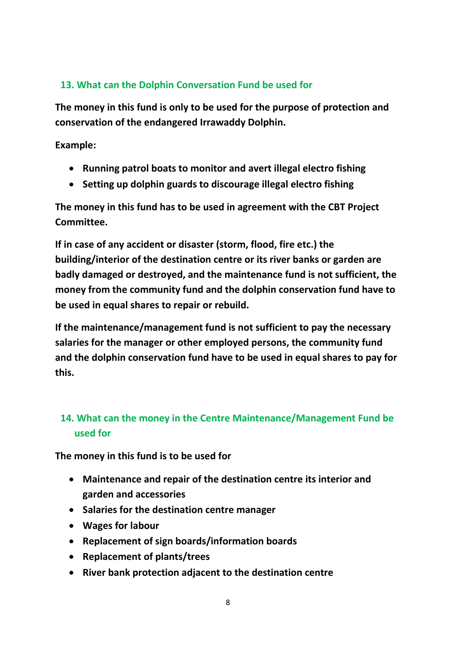## **13. What can the Dolphin Conversation Fund be used for**

**The money in this fund is only to be used for the purpose of protection and conservation of the endangered Irrawaddy Dolphin.** 

**Example:**

- **Running patrol boats to monitor and avert illegal electro fishing**
- **Setting up dolphin guards to discourage illegal electro fishing**

**The money in this fund has to be used in agreement with the CBT Project Committee.**

**If in case of any accident or disaster (storm, flood, fire etc.) the building/interior of the destination centre or its river banks or garden are badly damaged or destroyed, and the maintenance fund is not sufficient, the money from the community fund and the dolphin conservation fund have to be used in equal shares to repair or rebuild.** 

**If the maintenance/management fund is not sufficient to pay the necessary salaries for the manager or other employed persons, the community fund and the dolphin conservation fund have to be used in equal shares to pay for this.**

## **14. What can the money in the Centre Maintenance/Management Fund be used for**

**The money in this fund is to be used for**

- **Maintenance and repair of the destination centre its interior and garden and accessories**
- **Salaries for the destination centre manager**
- **Wages for labour**
- **Replacement of sign boards/information boards**
- **Replacement of plants/trees**
- **River bank protection adjacent to the destination centre**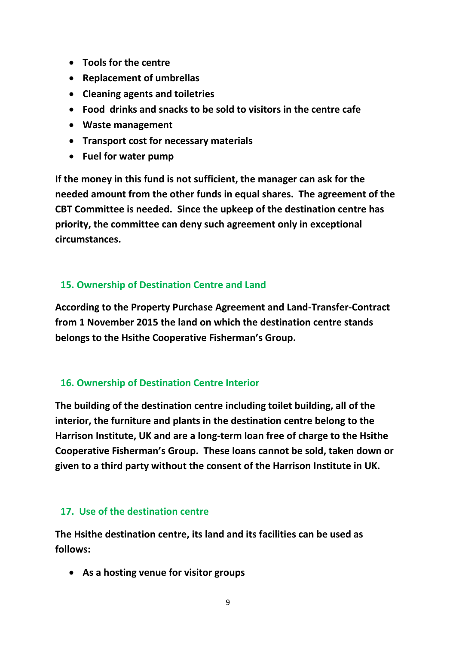- **Tools for the centre**
- **Replacement of umbrellas**
- **Cleaning agents and toiletries**
- **Food drinks and snacks to be sold to visitors in the centre cafe**
- **Waste management**
- **Transport cost for necessary materials**
- **Fuel for water pump**

**If the money in this fund is not sufficient, the manager can ask for the needed amount from the other funds in equal shares. The agreement of the CBT Committee is needed. Since the upkeep of the destination centre has priority, the committee can deny such agreement only in exceptional circumstances.**

#### **15. Ownership of Destination Centre and Land**

**According to the Property Purchase Agreement and Land-Transfer-Contract from 1 November 2015 the land on which the destination centre stands belongs to the Hsithe Cooperative Fisherman's Group.**

#### **16. Ownership of Destination Centre Interior**

**The building of the destination centre including toilet building, all of the interior, the furniture and plants in the destination centre belong to the Harrison Institute, UK and are a long-term loan free of charge to the Hsithe Cooperative Fisherman's Group. These loans cannot be sold, taken down or given to a third party without the consent of the Harrison Institute in UK.**

#### **17. Use of the destination centre**

**The Hsithe destination centre, its land and its facilities can be used as follows:**

**As a hosting venue for visitor groups**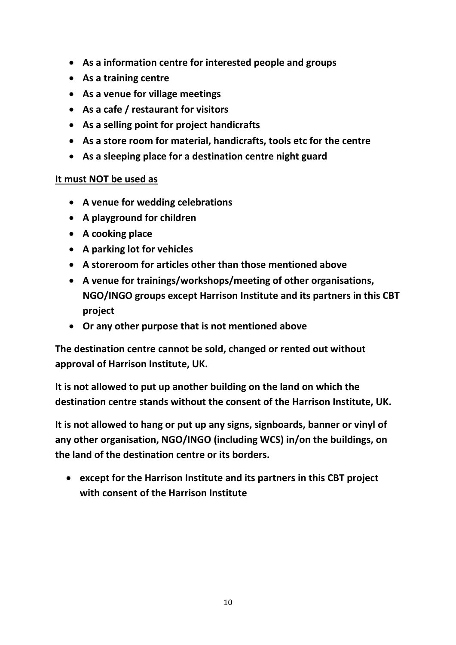- **As a information centre for interested people and groups**
- **As a training centre**
- **As a venue for village meetings**
- **As a cafe / restaurant for visitors**
- **As a selling point for project handicrafts**
- **As a store room for material, handicrafts, tools etc for the centre**
- **As a sleeping place for a destination centre night guard**

#### **It must NOT be used as**

- **A venue for wedding celebrations**
- **A playground for children**
- **A cooking place**
- **A parking lot for vehicles**
- **A storeroom for articles other than those mentioned above**
- **A venue for trainings/workshops/meeting of other organisations, NGO/INGO groups except Harrison Institute and its partners in this CBT project**
- **Or any other purpose that is not mentioned above**

**The destination centre cannot be sold, changed or rented out without approval of Harrison Institute, UK.**

**It is not allowed to put up another building on the land on which the destination centre stands without the consent of the Harrison Institute, UK.**

**It is not allowed to hang or put up any signs, signboards, banner or vinyl of any other organisation, NGO/INGO (including WCS) in/on the buildings, on the land of the destination centre or its borders.**

 **except for the Harrison Institute and its partners in this CBT project with consent of the Harrison Institute**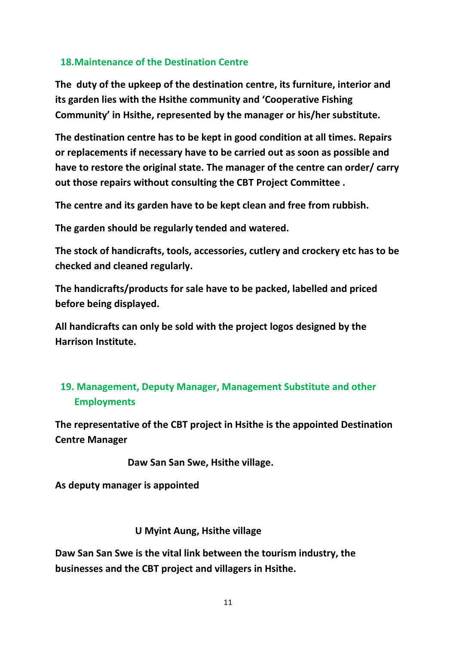### **18.Maintenance of the Destination Centre**

**The duty of the upkeep of the destination centre, its furniture, interior and its garden lies with the Hsithe community and 'Cooperative Fishing Community' in Hsithe, represented by the manager or his/her substitute.**

**The destination centre has to be kept in good condition at all times. Repairs or replacements if necessary have to be carried out as soon as possible and have to restore the original state. The manager of the centre can order/ carry out those repairs without consulting the CBT Project Committee .** 

**The centre and its garden have to be kept clean and free from rubbish.**

**The garden should be regularly tended and watered.**

**The stock of handicrafts, tools, accessories, cutlery and crockery etc has to be checked and cleaned regularly.**

**The handicrafts/products for sale have to be packed, labelled and priced before being displayed.**

**All handicrafts can only be sold with the project logos designed by the Harrison Institute.**

## **19. Management, Deputy Manager, Management Substitute and other Employments**

**The representative of the CBT project in Hsithe is the appointed Destination Centre Manager**

 **Daw San San Swe, Hsithe village.**

**As deputy manager is appointed**

#### **U Myint Aung, Hsithe village**

**Daw San San Swe is the vital link between the tourism industry, the businesses and the CBT project and villagers in Hsithe.**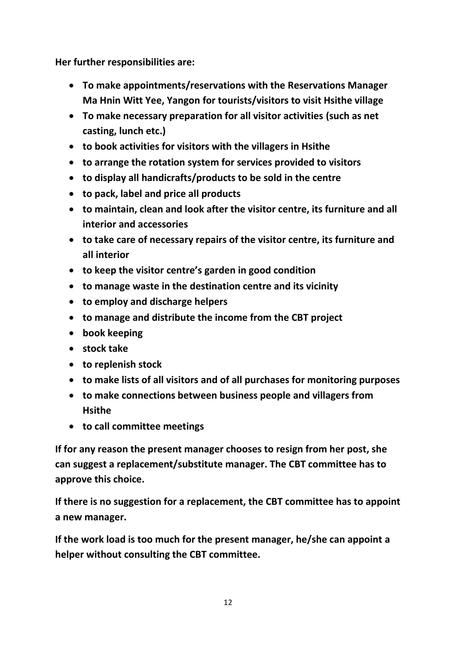**Her further responsibilities are:**

- **To make appointments/reservations with the Reservations Manager Ma Hnin Witt Yee, Yangon for tourists/visitors to visit Hsithe village**
- **To make necessary preparation for all visitor activities (such as net casting, lunch etc.)**
- **to book activities for visitors with the villagers in Hsithe**
- **to arrange the rotation system for services provided to visitors**
- **to display all handicrafts/products to be sold in the centre**
- **to pack, label and price all products**
- **to maintain, clean and look after the visitor centre, its furniture and all interior and accessories**
- **to take care of necessary repairs of the visitor centre, its furniture and all interior**
- **to keep the visitor centre's garden in good condition**
- **to manage waste in the destination centre and its vicinity**
- **to employ and discharge helpers**
- **to manage and distribute the income from the CBT project**
- **book keeping**
- **stock take**
- **to replenish stock**
- **to make lists of all visitors and of all purchases for monitoring purposes**
- **to make connections between business people and villagers from Hsithe**
- **to call committee meetings**

**If for any reason the present manager chooses to resign from her post, she can suggest a replacement/substitute manager. The CBT committee has to approve this choice.** 

**If there is no suggestion for a replacement, the CBT committee has to appoint a new manager.** 

**If the work load is too much for the present manager, he/she can appoint a helper without consulting the CBT committee.**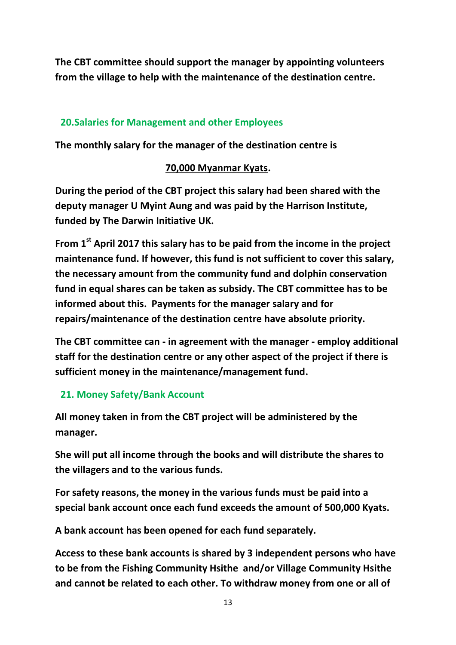**The CBT committee should support the manager by appointing volunteers from the village to help with the maintenance of the destination centre.**

## **20.Salaries for Management and other Employees**

**The monthly salary for the manager of the destination centre is**

#### **70,000 Myanmar Kyats.**

**During the period of the CBT project this salary had been shared with the deputy manager U Myint Aung and was paid by the Harrison Institute, funded by The Darwin Initiative UK.** 

**From 1st April 2017 this salary has to be paid from the income in the project maintenance fund. If however, this fund is not sufficient to cover this salary, the necessary amount from the community fund and dolphin conservation fund in equal shares can be taken as subsidy. The CBT committee has to be informed about this. Payments for the manager salary and for repairs/maintenance of the destination centre have absolute priority.**

**The CBT committee can - in agreement with the manager - employ additional staff for the destination centre or any other aspect of the project if there is sufficient money in the maintenance/management fund.**

## **21. Money Safety/Bank Account**

**All money taken in from the CBT project will be administered by the manager.**

**She will put all income through the books and will distribute the shares to the villagers and to the various funds.** 

**For safety reasons, the money in the various funds must be paid into a special bank account once each fund exceeds the amount of 500,000 Kyats.**

**A bank account has been opened for each fund separately.** 

**Access to these bank accounts is shared by 3 independent persons who have to be from the Fishing Community Hsithe and/or Village Community Hsithe and cannot be related to each other. To withdraw money from one or all of**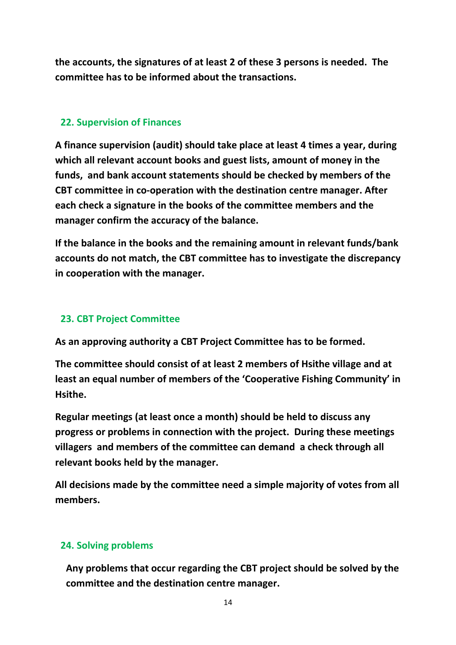**the accounts, the signatures of at least 2 of these 3 persons is needed. The committee has to be informed about the transactions.**

#### **22. Supervision of Finances**

**A finance supervision (audit) should take place at least 4 times a year, during which all relevant account books and guest lists, amount of money in the funds, and bank account statements should be checked by members of the CBT committee in co-operation with the destination centre manager. After each check a signature in the books of the committee members and the manager confirm the accuracy of the balance.**

**If the balance in the books and the remaining amount in relevant funds/bank accounts do not match, the CBT committee has to investigate the discrepancy in cooperation with the manager.** 

### **23. CBT Project Committee**

**As an approving authority a CBT Project Committee has to be formed.**

**The committee should consist of at least 2 members of Hsithe village and at least an equal number of members of the 'Cooperative Fishing Community' in Hsithe.**

**Regular meetings (at least once a month) should be held to discuss any progress or problems in connection with the project. During these meetings villagers and members of the committee can demand a check through all relevant books held by the manager.**

**All decisions made by the committee need a simple majority of votes from all members.** 

#### **24. Solving problems**

**Any problems that occur regarding the CBT project should be solved by the committee and the destination centre manager.**